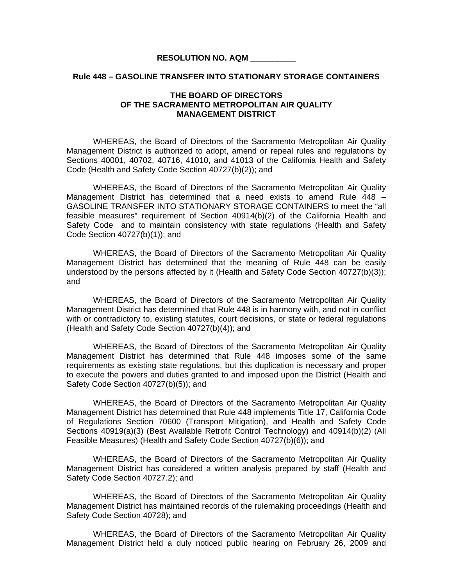### **RESOLUTION NO. AQM \_\_\_\_\_\_\_\_\_\_**

#### **Rule 448 – GASOLINE TRANSFER INTO STATIONARY STORAGE CONTAINERS**

# **THE BOARD OF DIRECTORS OF THE SACRAMENTO METROPOLITAN AIR QUALITY MANAGEMENT DISTRICT**

 WHEREAS, the Board of Directors of the Sacramento Metropolitan Air Quality Management District is authorized to adopt, amend or repeal rules and regulations by Sections 40001, 40702, 40716, 41010, and 41013 of the California Health and Safety Code (Health and Safety Code Section 40727(b)(2)); and

WHEREAS, the Board of Directors of the Sacramento Metropolitan Air Quality Management District has determined that a need exists to amend Rule 448 – GASOLINE TRANSFER INTO STATIONARY STORAGE CONTAINERS to meet the "all feasible measures" requirement of Section 40914(b)(2) of the California Health and Safety Code and to maintain consistency with state regulations (Health and Safety Code Section 40727(b)(1)); and

 WHEREAS, the Board of Directors of the Sacramento Metropolitan Air Quality Management District has determined that the meaning of Rule 448 can be easily understood by the persons affected by it (Health and Safety Code Section 40727(b)(3)); and

 WHEREAS, the Board of Directors of the Sacramento Metropolitan Air Quality Management District has determined that Rule 448 is in harmony with, and not in conflict with or contradictory to, existing statutes, court decisions, or state or federal regulations (Health and Safety Code Section 40727(b)(4)); and

 WHEREAS, the Board of Directors of the Sacramento Metropolitan Air Quality Management District has determined that Rule 448 imposes some of the same requirements as existing state regulations, but this duplication is necessary and proper to execute the powers and duties granted to and imposed upon the District (Health and Safety Code Section 40727(b)(5)); and

 WHEREAS, the Board of Directors of the Sacramento Metropolitan Air Quality Management District has determined that Rule 448 implements Title 17, California Code of Regulations Section 70600 (Transport Mitigation), and Health and Safety Code Sections 40919(a)(3) (Best Available Retrofit Control Technology) and 40914(b)(2) (All Feasible Measures) (Health and Safety Code Section 40727(b)(6)); and

WHEREAS, the Board of Directors of the Sacramento Metropolitan Air Quality Management District has considered a written analysis prepared by staff (Health and Safety Code Section 40727.2); and

WHEREAS, the Board of Directors of the Sacramento Metropolitan Air Quality Management District has maintained records of the rulemaking proceedings (Health and Safety Code Section 40728); and

 WHEREAS, the Board of Directors of the Sacramento Metropolitan Air Quality Management District held a duly noticed public hearing on February 26, 2009 and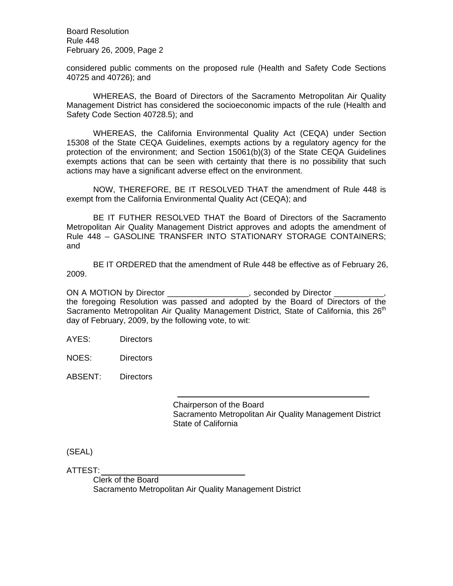Board Resolution Rule 448 February 26, 2009, Page 2

considered public comments on the proposed rule (Health and Safety Code Sections 40725 and 40726); and

 WHEREAS, the Board of Directors of the Sacramento Metropolitan Air Quality Management District has considered the socioeconomic impacts of the rule (Health and Safety Code Section 40728.5); and

WHEREAS, the California Environmental Quality Act (CEQA) under Section 15308 of the State CEQA Guidelines, exempts actions by a regulatory agency for the protection of the environment; and Section 15061(b)(3) of the State CEQA Guidelines exempts actions that can be seen with certainty that there is no possibility that such actions may have a significant adverse effect on the environment.

NOW, THEREFORE, BE IT RESOLVED THAT the amendment of Rule 448 is exempt from the California Environmental Quality Act (CEQA); and

BE IT FUTHER RESOLVED THAT the Board of Directors of the Sacramento Metropolitan Air Quality Management District approves and adopts the amendment of Rule 448 – GASOLINE TRANSFER INTO STATIONARY STORAGE CONTAINERS; and

BE IT ORDERED that the amendment of Rule 448 be effective as of February 26, 2009.

ON A MOTION by Director \_\_\_\_\_\_\_\_\_\_\_\_\_\_\_\_\_, seconded by Director \_ the foregoing Resolution was passed and adopted by the Board of Directors of the Sacramento Metropolitan Air Quality Management District, State of California, this 26<sup>th</sup> day of February, 2009, by the following vote, to wit:

AYES: Directors

NOES: Directors

ABSENT: Directors

 Chairperson of the Board Sacramento Metropolitan Air Quality Management District State of California

(SEAL)

ATTEST:

 Clerk of the Board Sacramento Metropolitan Air Quality Management District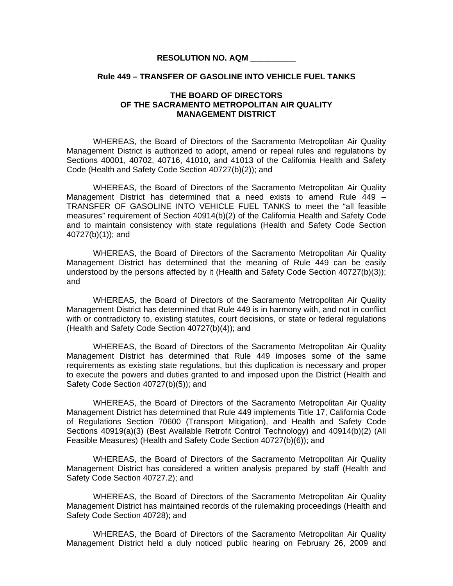### **RESOLUTION NO. AQM \_\_\_\_\_\_\_\_\_\_**

### **Rule 449 – TRANSFER OF GASOLINE INTO VEHICLE FUEL TANKS**

# **THE BOARD OF DIRECTORS OF THE SACRAMENTO METROPOLITAN AIR QUALITY MANAGEMENT DISTRICT**

 WHEREAS, the Board of Directors of the Sacramento Metropolitan Air Quality Management District is authorized to adopt, amend or repeal rules and regulations by Sections 40001, 40702, 40716, 41010, and 41013 of the California Health and Safety Code (Health and Safety Code Section 40727(b)(2)); and

WHEREAS, the Board of Directors of the Sacramento Metropolitan Air Quality Management District has determined that a need exists to amend Rule 449 – TRANSFER OF GASOLINE INTO VEHICLE FUEL TANKS to meet the "all feasible measures" requirement of Section 40914(b)(2) of the California Health and Safety Code and to maintain consistency with state regulations (Health and Safety Code Section 40727(b)(1)); and

 WHEREAS, the Board of Directors of the Sacramento Metropolitan Air Quality Management District has determined that the meaning of Rule 449 can be easily understood by the persons affected by it (Health and Safety Code Section 40727(b)(3)); and

 WHEREAS, the Board of Directors of the Sacramento Metropolitan Air Quality Management District has determined that Rule 449 is in harmony with, and not in conflict with or contradictory to, existing statutes, court decisions, or state or federal regulations (Health and Safety Code Section 40727(b)(4)); and

 WHEREAS, the Board of Directors of the Sacramento Metropolitan Air Quality Management District has determined that Rule 449 imposes some of the same requirements as existing state regulations, but this duplication is necessary and proper to execute the powers and duties granted to and imposed upon the District (Health and Safety Code Section 40727(b)(5)); and

 WHEREAS, the Board of Directors of the Sacramento Metropolitan Air Quality Management District has determined that Rule 449 implements Title 17, California Code of Regulations Section 70600 (Transport Mitigation), and Health and Safety Code Sections 40919(a)(3) (Best Available Retrofit Control Technology) and 40914(b)(2) (All Feasible Measures) (Health and Safety Code Section 40727(b)(6)); and

WHEREAS, the Board of Directors of the Sacramento Metropolitan Air Quality Management District has considered a written analysis prepared by staff (Health and Safety Code Section 40727.2); and

WHEREAS, the Board of Directors of the Sacramento Metropolitan Air Quality Management District has maintained records of the rulemaking proceedings (Health and Safety Code Section 40728); and

 WHEREAS, the Board of Directors of the Sacramento Metropolitan Air Quality Management District held a duly noticed public hearing on February 26, 2009 and